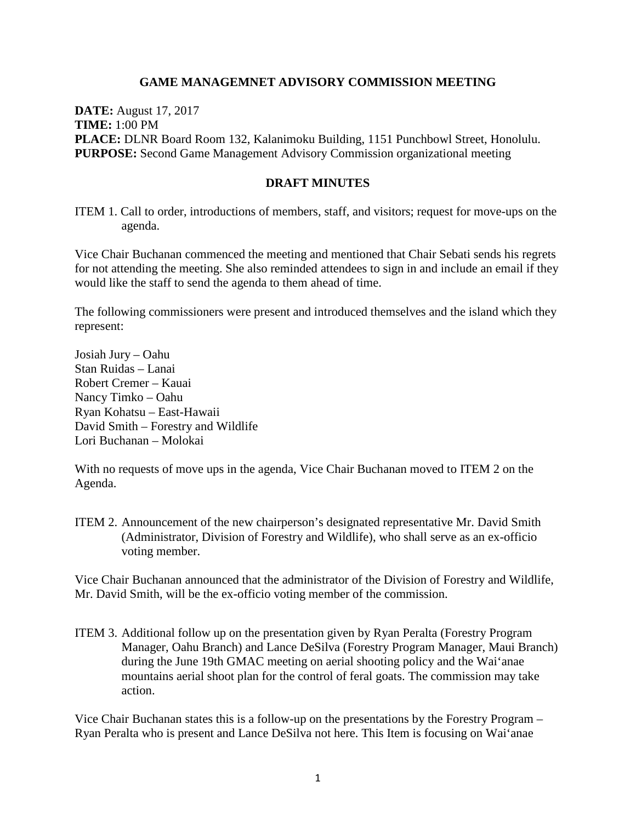### **GAME MANAGEMNET ADVISORY COMMISSION MEETING**

**DATE:** August 17, 2017 **TIME:** 1:00 PM **PLACE:** DLNR Board Room 132, Kalanimoku Building, 1151 Punchbowl Street, Honolulu. **PURPOSE:** Second Game Management Advisory Commission organizational meeting

#### **DRAFT MINUTES**

ITEM 1. Call to order, introductions of members, staff, and visitors; request for move-ups on the agenda.

Vice Chair Buchanan commenced the meeting and mentioned that Chair Sebati sends his regrets for not attending the meeting. She also reminded attendees to sign in and include an email if they would like the staff to send the agenda to them ahead of time.

The following commissioners were present and introduced themselves and the island which they represent:

Josiah Jury – Oahu Stan Ruidas – Lanai Robert Cremer – Kauai Nancy Timko – Oahu Ryan Kohatsu – East-Hawaii David Smith – Forestry and Wildlife Lori Buchanan – Molokai

With no requests of move ups in the agenda, Vice Chair Buchanan moved to ITEM 2 on the Agenda.

ITEM 2. Announcement of the new chairperson's designated representative Mr. David Smith (Administrator, Division of Forestry and Wildlife), who shall serve as an ex-officio voting member.

Vice Chair Buchanan announced that the administrator of the Division of Forestry and Wildlife, Mr. David Smith, will be the ex-officio voting member of the commission.

ITEM 3. Additional follow up on the presentation given by Ryan Peralta (Forestry Program Manager, Oahu Branch) and Lance DeSilva (Forestry Program Manager, Maui Branch) during the June 19th GMAC meeting on aerial shooting policy and the Wai'anae mountains aerial shoot plan for the control of feral goats. The commission may take action.

Vice Chair Buchanan states this is a follow-up on the presentations by the Forestry Program – Ryan Peralta who is present and Lance DeSilva not here. This Item is focusing on Wai'anae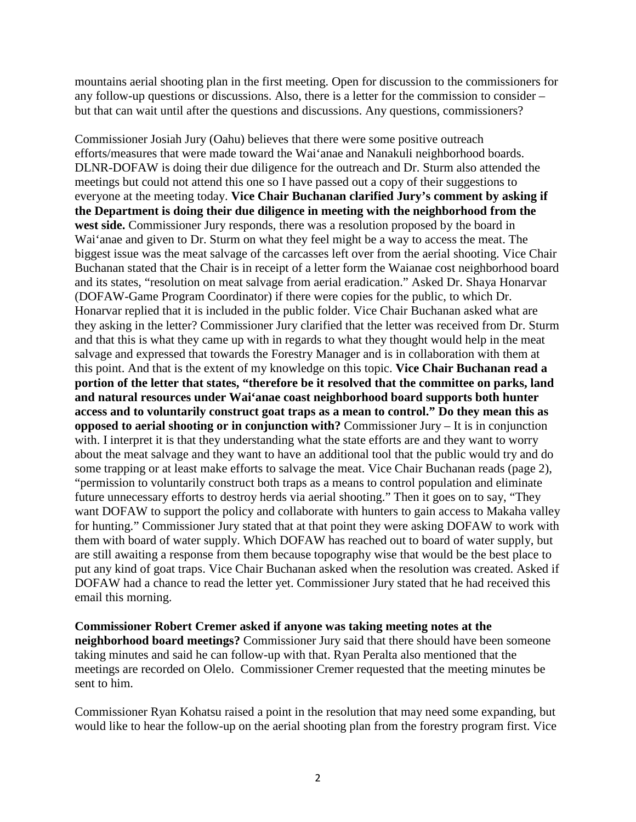mountains aerial shooting plan in the first meeting. Open for discussion to the commissioners for any follow-up questions or discussions. Also, there is a letter for the commission to consider – but that can wait until after the questions and discussions. Any questions, commissioners?

Commissioner Josiah Jury (Oahu) believes that there were some positive outreach efforts/measures that were made toward the Wai'anae and Nanakuli neighborhood boards. DLNR-DOFAW is doing their due diligence for the outreach and Dr. Sturm also attended the meetings but could not attend this one so I have passed out a copy of their suggestions to everyone at the meeting today. **Vice Chair Buchanan clarified Jury's comment by asking if the Department is doing their due diligence in meeting with the neighborhood from the west side.** Commissioner Jury responds, there was a resolution proposed by the board in Wai'anae and given to Dr. Sturm on what they feel might be a way to access the meat. The biggest issue was the meat salvage of the carcasses left over from the aerial shooting. Vice Chair Buchanan stated that the Chair is in receipt of a letter form the Waianae cost neighborhood board and its states, "resolution on meat salvage from aerial eradication." Asked Dr. Shaya Honarvar (DOFAW-Game Program Coordinator) if there were copies for the public, to which Dr. Honarvar replied that it is included in the public folder. Vice Chair Buchanan asked what are they asking in the letter? Commissioner Jury clarified that the letter was received from Dr. Sturm and that this is what they came up with in regards to what they thought would help in the meat salvage and expressed that towards the Forestry Manager and is in collaboration with them at this point. And that is the extent of my knowledge on this topic. **Vice Chair Buchanan read a portion of the letter that states, "therefore be it resolved that the committee on parks, land and natural resources under Wai'anae coast neighborhood board supports both hunter access and to voluntarily construct goat traps as a mean to control." Do they mean this as opposed to aerial shooting or in conjunction with?** Commissioner Jury – It is in conjunction with. I interpret it is that they understanding what the state efforts are and they want to worry about the meat salvage and they want to have an additional tool that the public would try and do some trapping or at least make efforts to salvage the meat. Vice Chair Buchanan reads (page 2), "permission to voluntarily construct both traps as a means to control population and eliminate future unnecessary efforts to destroy herds via aerial shooting." Then it goes on to say, "They want DOFAW to support the policy and collaborate with hunters to gain access to Makaha valley for hunting." Commissioner Jury stated that at that point they were asking DOFAW to work with them with board of water supply. Which DOFAW has reached out to board of water supply, but are still awaiting a response from them because topography wise that would be the best place to put any kind of goat traps. Vice Chair Buchanan asked when the resolution was created. Asked if DOFAW had a chance to read the letter yet. Commissioner Jury stated that he had received this email this morning.

**Commissioner Robert Cremer asked if anyone was taking meeting notes at the neighborhood board meetings?** Commissioner Jury said that there should have been someone taking minutes and said he can follow-up with that. Ryan Peralta also mentioned that the meetings are recorded on Olelo. Commissioner Cremer requested that the meeting minutes be sent to him.

Commissioner Ryan Kohatsu raised a point in the resolution that may need some expanding, but would like to hear the follow-up on the aerial shooting plan from the forestry program first. Vice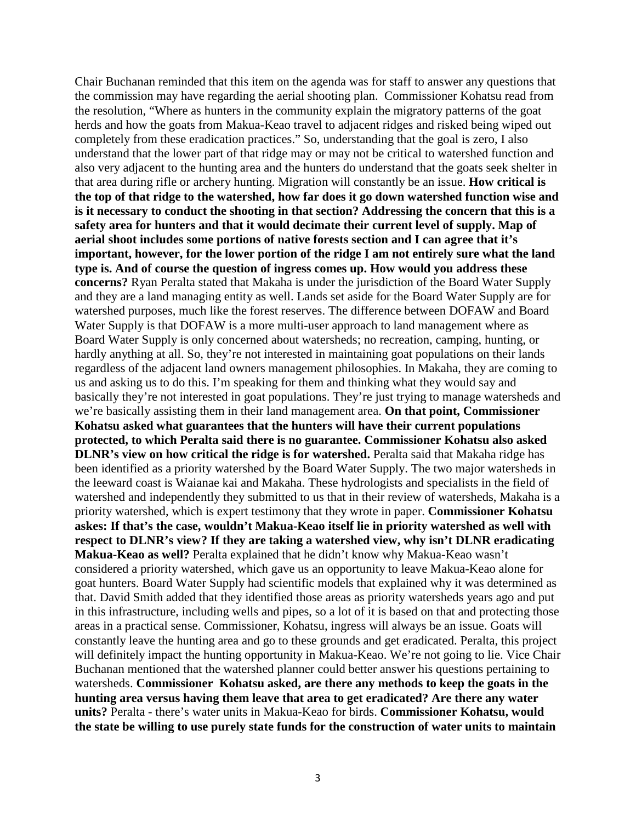Chair Buchanan reminded that this item on the agenda was for staff to answer any questions that the commission may have regarding the aerial shooting plan. Commissioner Kohatsu read from the resolution, "Where as hunters in the community explain the migratory patterns of the goat herds and how the goats from Makua-Keao travel to adjacent ridges and risked being wiped out completely from these eradication practices." So, understanding that the goal is zero, I also understand that the lower part of that ridge may or may not be critical to watershed function and also very adjacent to the hunting area and the hunters do understand that the goats seek shelter in that area during rifle or archery hunting. Migration will constantly be an issue. **How critical is the top of that ridge to the watershed, how far does it go down watershed function wise and is it necessary to conduct the shooting in that section? Addressing the concern that this is a safety area for hunters and that it would decimate their current level of supply. Map of aerial shoot includes some portions of native forests section and I can agree that it's important, however, for the lower portion of the ridge I am not entirely sure what the land type is. And of course the question of ingress comes up. How would you address these concerns?** Ryan Peralta stated that Makaha is under the jurisdiction of the Board Water Supply and they are a land managing entity as well. Lands set aside for the Board Water Supply are for watershed purposes, much like the forest reserves. The difference between DOFAW and Board Water Supply is that DOFAW is a more multi-user approach to land management where as Board Water Supply is only concerned about watersheds; no recreation, camping, hunting, or hardly anything at all. So, they're not interested in maintaining goat populations on their lands regardless of the adjacent land owners management philosophies. In Makaha, they are coming to us and asking us to do this. I'm speaking for them and thinking what they would say and basically they're not interested in goat populations. They're just trying to manage watersheds and we're basically assisting them in their land management area. **On that point, Commissioner Kohatsu asked what guarantees that the hunters will have their current populations protected, to which Peralta said there is no guarantee. Commissioner Kohatsu also asked DLNR's view on how critical the ridge is for watershed.** Peralta said that Makaha ridge has been identified as a priority watershed by the Board Water Supply. The two major watersheds in the leeward coast is Waianae kai and Makaha. These hydrologists and specialists in the field of watershed and independently they submitted to us that in their review of watersheds, Makaha is a priority watershed, which is expert testimony that they wrote in paper. **Commissioner Kohatsu askes: If that's the case, wouldn't Makua-Keao itself lie in priority watershed as well with respect to DLNR's view? If they are taking a watershed view, why isn't DLNR eradicating Makua-Keao as well?** Peralta explained that he didn't know why Makua-Keao wasn't considered a priority watershed, which gave us an opportunity to leave Makua-Keao alone for goat hunters. Board Water Supply had scientific models that explained why it was determined as that. David Smith added that they identified those areas as priority watersheds years ago and put in this infrastructure, including wells and pipes, so a lot of it is based on that and protecting those areas in a practical sense. Commissioner, Kohatsu, ingress will always be an issue. Goats will constantly leave the hunting area and go to these grounds and get eradicated. Peralta, this project will definitely impact the hunting opportunity in Makua-Keao. We're not going to lie. Vice Chair Buchanan mentioned that the watershed planner could better answer his questions pertaining to watersheds. **Commissioner Kohatsu asked, are there any methods to keep the goats in the hunting area versus having them leave that area to get eradicated? Are there any water units?** Peralta - there's water units in Makua-Keao for birds. **Commissioner Kohatsu, would the state be willing to use purely state funds for the construction of water units to maintain**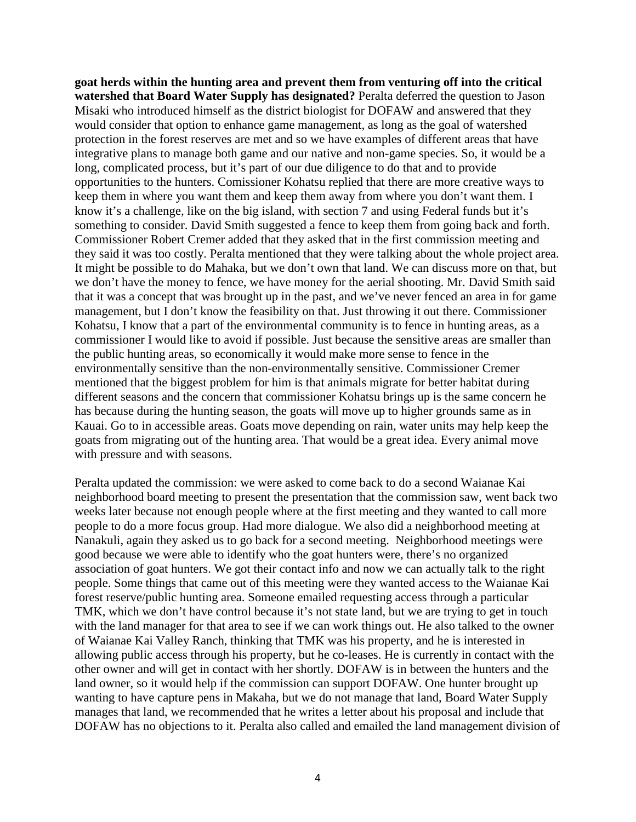**goat herds within the hunting area and prevent them from venturing off into the critical watershed that Board Water Supply has designated?** Peralta deferred the question to Jason Misaki who introduced himself as the district biologist for DOFAW and answered that they would consider that option to enhance game management, as long as the goal of watershed protection in the forest reserves are met and so we have examples of different areas that have integrative plans to manage both game and our native and non-game species. So, it would be a long, complicated process, but it's part of our due diligence to do that and to provide opportunities to the hunters. Comissioner Kohatsu replied that there are more creative ways to keep them in where you want them and keep them away from where you don't want them. I know it's a challenge, like on the big island, with section 7 and using Federal funds but it's something to consider. David Smith suggested a fence to keep them from going back and forth. Commissioner Robert Cremer added that they asked that in the first commission meeting and they said it was too costly. Peralta mentioned that they were talking about the whole project area. It might be possible to do Mahaka, but we don't own that land. We can discuss more on that, but we don't have the money to fence, we have money for the aerial shooting. Mr. David Smith said that it was a concept that was brought up in the past, and we've never fenced an area in for game management, but I don't know the feasibility on that. Just throwing it out there. Commissioner Kohatsu, I know that a part of the environmental community is to fence in hunting areas, as a commissioner I would like to avoid if possible. Just because the sensitive areas are smaller than the public hunting areas, so economically it would make more sense to fence in the environmentally sensitive than the non-environmentally sensitive. Commissioner Cremer mentioned that the biggest problem for him is that animals migrate for better habitat during different seasons and the concern that commissioner Kohatsu brings up is the same concern he has because during the hunting season, the goats will move up to higher grounds same as in Kauai. Go to in accessible areas. Goats move depending on rain, water units may help keep the goats from migrating out of the hunting area. That would be a great idea. Every animal move with pressure and with seasons.

Peralta updated the commission: we were asked to come back to do a second Waianae Kai neighborhood board meeting to present the presentation that the commission saw, went back two weeks later because not enough people where at the first meeting and they wanted to call more people to do a more focus group. Had more dialogue. We also did a neighborhood meeting at Nanakuli, again they asked us to go back for a second meeting. Neighborhood meetings were good because we were able to identify who the goat hunters were, there's no organized association of goat hunters. We got their contact info and now we can actually talk to the right people. Some things that came out of this meeting were they wanted access to the Waianae Kai forest reserve/public hunting area. Someone emailed requesting access through a particular TMK, which we don't have control because it's not state land, but we are trying to get in touch with the land manager for that area to see if we can work things out. He also talked to the owner of Waianae Kai Valley Ranch, thinking that TMK was his property, and he is interested in allowing public access through his property, but he co-leases. He is currently in contact with the other owner and will get in contact with her shortly. DOFAW is in between the hunters and the land owner, so it would help if the commission can support DOFAW. One hunter brought up wanting to have capture pens in Makaha, but we do not manage that land, Board Water Supply manages that land, we recommended that he writes a letter about his proposal and include that DOFAW has no objections to it. Peralta also called and emailed the land management division of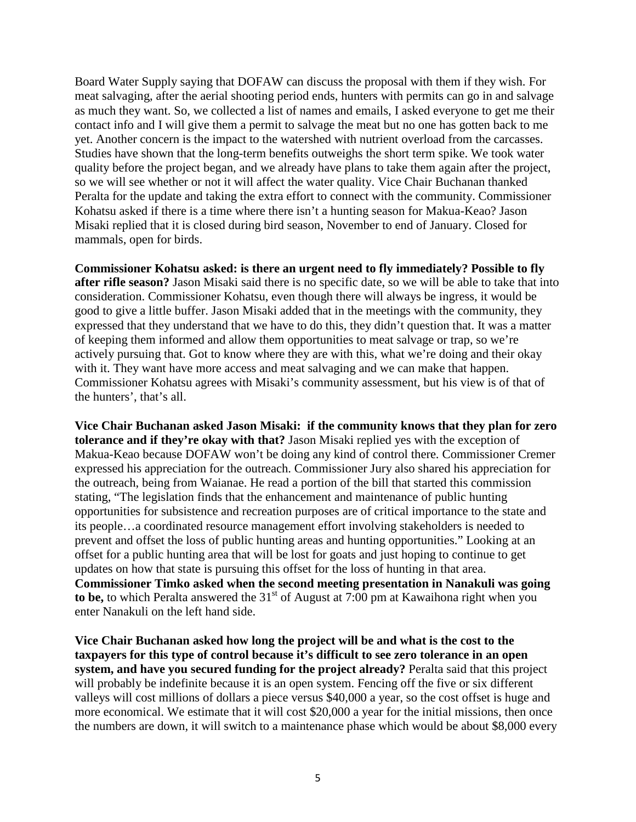Board Water Supply saying that DOFAW can discuss the proposal with them if they wish. For meat salvaging, after the aerial shooting period ends, hunters with permits can go in and salvage as much they want. So, we collected a list of names and emails, I asked everyone to get me their contact info and I will give them a permit to salvage the meat but no one has gotten back to me yet. Another concern is the impact to the watershed with nutrient overload from the carcasses. Studies have shown that the long-term benefits outweighs the short term spike. We took water quality before the project began, and we already have plans to take them again after the project, so we will see whether or not it will affect the water quality. Vice Chair Buchanan thanked Peralta for the update and taking the extra effort to connect with the community. Commissioner Kohatsu asked if there is a time where there isn't a hunting season for Makua-Keao? Jason Misaki replied that it is closed during bird season, November to end of January. Closed for mammals, open for birds.

**Commissioner Kohatsu asked: is there an urgent need to fly immediately? Possible to fly after rifle season?** Jason Misaki said there is no specific date, so we will be able to take that into consideration. Commissioner Kohatsu, even though there will always be ingress, it would be good to give a little buffer. Jason Misaki added that in the meetings with the community, they expressed that they understand that we have to do this, they didn't question that. It was a matter of keeping them informed and allow them opportunities to meat salvage or trap, so we're actively pursuing that. Got to know where they are with this, what we're doing and their okay with it. They want have more access and meat salvaging and we can make that happen. Commissioner Kohatsu agrees with Misaki's community assessment, but his view is of that of the hunters', that's all.

**Vice Chair Buchanan asked Jason Misaki: if the community knows that they plan for zero tolerance and if they're okay with that?** Jason Misaki replied yes with the exception of Makua-Keao because DOFAW won't be doing any kind of control there. Commissioner Cremer expressed his appreciation for the outreach. Commissioner Jury also shared his appreciation for the outreach, being from Waianae. He read a portion of the bill that started this commission stating, "The legislation finds that the enhancement and maintenance of public hunting opportunities for subsistence and recreation purposes are of critical importance to the state and its people…a coordinated resource management effort involving stakeholders is needed to prevent and offset the loss of public hunting areas and hunting opportunities." Looking at an offset for a public hunting area that will be lost for goats and just hoping to continue to get updates on how that state is pursuing this offset for the loss of hunting in that area. **Commissioner Timko asked when the second meeting presentation in Nanakuli was going**  to be, to which Peralta answered the 31<sup>st</sup> of August at 7:00 pm at Kawaihona right when you enter Nanakuli on the left hand side.

**Vice Chair Buchanan asked how long the project will be and what is the cost to the taxpayers for this type of control because it's difficult to see zero tolerance in an open system, and have you secured funding for the project already?** Peralta said that this project will probably be indefinite because it is an open system. Fencing off the five or six different valleys will cost millions of dollars a piece versus \$40,000 a year, so the cost offset is huge and more economical. We estimate that it will cost \$20,000 a year for the initial missions, then once the numbers are down, it will switch to a maintenance phase which would be about \$8,000 every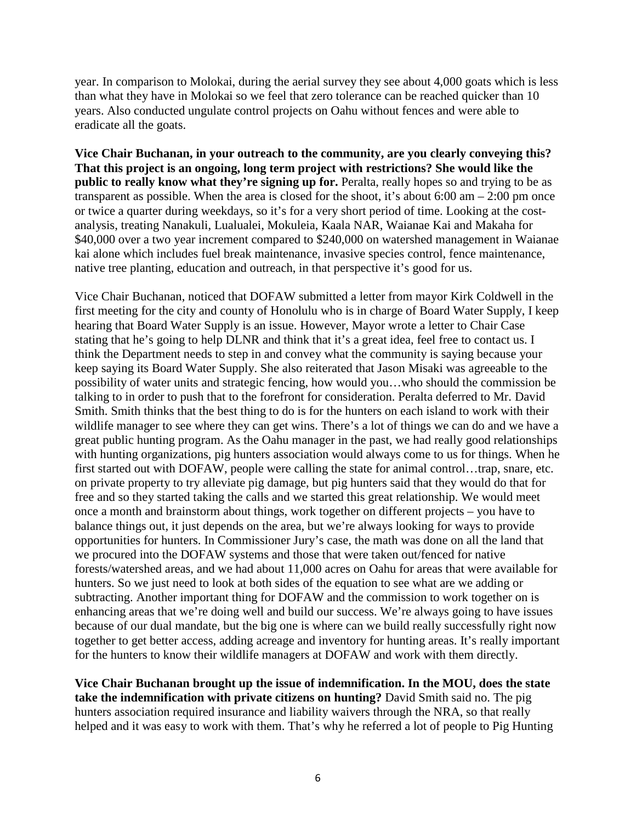year. In comparison to Molokai, during the aerial survey they see about 4,000 goats which is less than what they have in Molokai so we feel that zero tolerance can be reached quicker than 10 years. Also conducted ungulate control projects on Oahu without fences and were able to eradicate all the goats.

**Vice Chair Buchanan, in your outreach to the community, are you clearly conveying this? That this project is an ongoing, long term project with restrictions? She would like the public to really know what they're signing up for.** Peralta, really hopes so and trying to be as transparent as possible. When the area is closed for the shoot, it's about  $6:00 \text{ am} - 2:00 \text{ pm}$  once or twice a quarter during weekdays, so it's for a very short period of time. Looking at the costanalysis, treating Nanakuli, Lualualei, Mokuleia, Kaala NAR, Waianae Kai and Makaha for \$40,000 over a two year increment compared to \$240,000 on watershed management in Waianae kai alone which includes fuel break maintenance, invasive species control, fence maintenance, native tree planting, education and outreach, in that perspective it's good for us.

Vice Chair Buchanan, noticed that DOFAW submitted a letter from mayor Kirk Coldwell in the first meeting for the city and county of Honolulu who is in charge of Board Water Supply, I keep hearing that Board Water Supply is an issue. However, Mayor wrote a letter to Chair Case stating that he's going to help DLNR and think that it's a great idea, feel free to contact us. I think the Department needs to step in and convey what the community is saying because your keep saying its Board Water Supply. She also reiterated that Jason Misaki was agreeable to the possibility of water units and strategic fencing, how would you…who should the commission be talking to in order to push that to the forefront for consideration. Peralta deferred to Mr. David Smith. Smith thinks that the best thing to do is for the hunters on each island to work with their wildlife manager to see where they can get wins. There's a lot of things we can do and we have a great public hunting program. As the Oahu manager in the past, we had really good relationships with hunting organizations, pig hunters association would always come to us for things. When he first started out with DOFAW, people were calling the state for animal control…trap, snare, etc. on private property to try alleviate pig damage, but pig hunters said that they would do that for free and so they started taking the calls and we started this great relationship. We would meet once a month and brainstorm about things, work together on different projects – you have to balance things out, it just depends on the area, but we're always looking for ways to provide opportunities for hunters. In Commissioner Jury's case, the math was done on all the land that we procured into the DOFAW systems and those that were taken out/fenced for native forests/watershed areas, and we had about 11,000 acres on Oahu for areas that were available for hunters. So we just need to look at both sides of the equation to see what are we adding or subtracting. Another important thing for DOFAW and the commission to work together on is enhancing areas that we're doing well and build our success. We're always going to have issues because of our dual mandate, but the big one is where can we build really successfully right now together to get better access, adding acreage and inventory for hunting areas. It's really important for the hunters to know their wildlife managers at DOFAW and work with them directly.

**Vice Chair Buchanan brought up the issue of indemnification. In the MOU, does the state take the indemnification with private citizens on hunting?** David Smith said no. The pig hunters association required insurance and liability waivers through the NRA, so that really helped and it was easy to work with them. That's why he referred a lot of people to Pig Hunting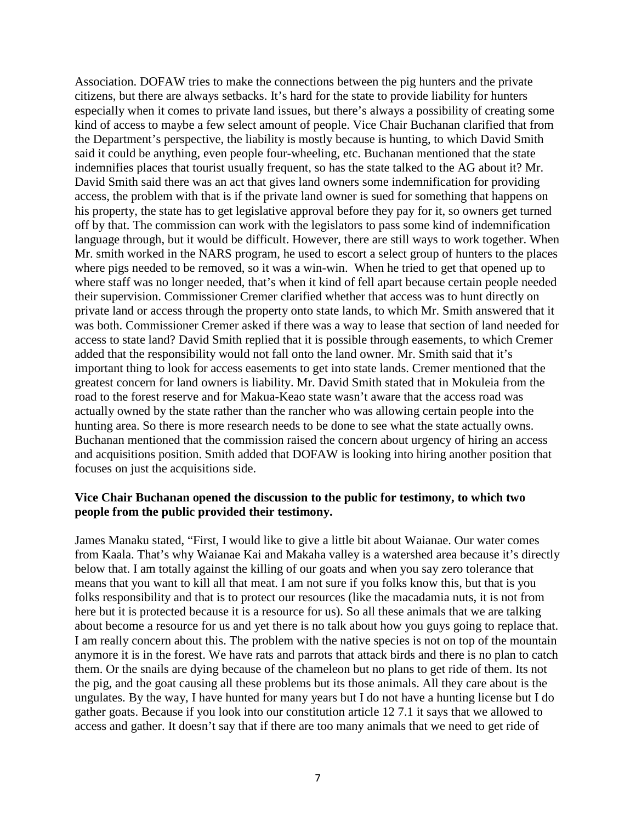Association. DOFAW tries to make the connections between the pig hunters and the private citizens, but there are always setbacks. It's hard for the state to provide liability for hunters especially when it comes to private land issues, but there's always a possibility of creating some kind of access to maybe a few select amount of people. Vice Chair Buchanan clarified that from the Department's perspective, the liability is mostly because is hunting, to which David Smith said it could be anything, even people four-wheeling, etc. Buchanan mentioned that the state indemnifies places that tourist usually frequent, so has the state talked to the AG about it? Mr. David Smith said there was an act that gives land owners some indemnification for providing access, the problem with that is if the private land owner is sued for something that happens on his property, the state has to get legislative approval before they pay for it, so owners get turned off by that. The commission can work with the legislators to pass some kind of indemnification language through, but it would be difficult. However, there are still ways to work together. When Mr. smith worked in the NARS program, he used to escort a select group of hunters to the places where pigs needed to be removed, so it was a win-win. When he tried to get that opened up to where staff was no longer needed, that's when it kind of fell apart because certain people needed their supervision. Commissioner Cremer clarified whether that access was to hunt directly on private land or access through the property onto state lands, to which Mr. Smith answered that it was both. Commissioner Cremer asked if there was a way to lease that section of land needed for access to state land? David Smith replied that it is possible through easements, to which Cremer added that the responsibility would not fall onto the land owner. Mr. Smith said that it's important thing to look for access easements to get into state lands. Cremer mentioned that the greatest concern for land owners is liability. Mr. David Smith stated that in Mokuleia from the road to the forest reserve and for Makua-Keao state wasn't aware that the access road was actually owned by the state rather than the rancher who was allowing certain people into the hunting area. So there is more research needs to be done to see what the state actually owns. Buchanan mentioned that the commission raised the concern about urgency of hiring an access and acquisitions position. Smith added that DOFAW is looking into hiring another position that focuses on just the acquisitions side.

## **Vice Chair Buchanan opened the discussion to the public for testimony, to which two people from the public provided their testimony.**

James Manaku stated, "First, I would like to give a little bit about Waianae. Our water comes from Kaala. That's why Waianae Kai and Makaha valley is a watershed area because it's directly below that. I am totally against the killing of our goats and when you say zero tolerance that means that you want to kill all that meat. I am not sure if you folks know this, but that is you folks responsibility and that is to protect our resources (like the macadamia nuts, it is not from here but it is protected because it is a resource for us). So all these animals that we are talking about become a resource for us and yet there is no talk about how you guys going to replace that. I am really concern about this. The problem with the native species is not on top of the mountain anymore it is in the forest. We have rats and parrots that attack birds and there is no plan to catch them. Or the snails are dying because of the chameleon but no plans to get ride of them. Its not the pig, and the goat causing all these problems but its those animals. All they care about is the ungulates. By the way, I have hunted for many years but I do not have a hunting license but I do gather goats. Because if you look into our constitution article 12 7.1 it says that we allowed to access and gather. It doesn't say that if there are too many animals that we need to get ride of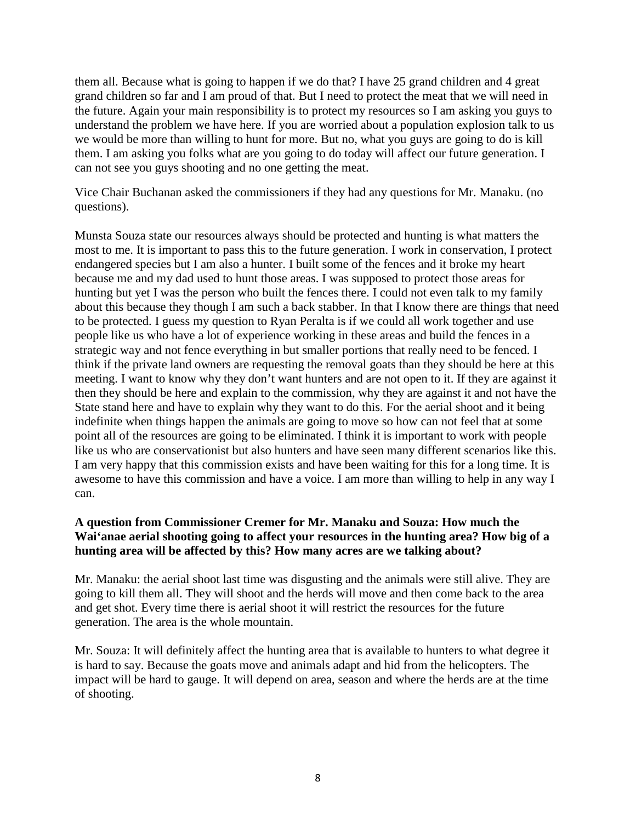them all. Because what is going to happen if we do that? I have 25 grand children and 4 great grand children so far and I am proud of that. But I need to protect the meat that we will need in the future. Again your main responsibility is to protect my resources so I am asking you guys to understand the problem we have here. If you are worried about a population explosion talk to us we would be more than willing to hunt for more. But no, what you guys are going to do is kill them. I am asking you folks what are you going to do today will affect our future generation. I can not see you guys shooting and no one getting the meat.

Vice Chair Buchanan asked the commissioners if they had any questions for Mr. Manaku. (no questions).

Munsta Souza state our resources always should be protected and hunting is what matters the most to me. It is important to pass this to the future generation. I work in conservation, I protect endangered species but I am also a hunter. I built some of the fences and it broke my heart because me and my dad used to hunt those areas. I was supposed to protect those areas for hunting but yet I was the person who built the fences there. I could not even talk to my family about this because they though I am such a back stabber. In that I know there are things that need to be protected. I guess my question to Ryan Peralta is if we could all work together and use people like us who have a lot of experience working in these areas and build the fences in a strategic way and not fence everything in but smaller portions that really need to be fenced. I think if the private land owners are requesting the removal goats than they should be here at this meeting. I want to know why they don't want hunters and are not open to it. If they are against it then they should be here and explain to the commission, why they are against it and not have the State stand here and have to explain why they want to do this. For the aerial shoot and it being indefinite when things happen the animals are going to move so how can not feel that at some point all of the resources are going to be eliminated. I think it is important to work with people like us who are conservationist but also hunters and have seen many different scenarios like this. I am very happy that this commission exists and have been waiting for this for a long time. It is awesome to have this commission and have a voice. I am more than willing to help in any way I can.

# **A question from Commissioner Cremer for Mr. Manaku and Souza: How much the Wai'anae aerial shooting going to affect your resources in the hunting area? How big of a hunting area will be affected by this? How many acres are we talking about?**

Mr. Manaku: the aerial shoot last time was disgusting and the animals were still alive. They are going to kill them all. They will shoot and the herds will move and then come back to the area and get shot. Every time there is aerial shoot it will restrict the resources for the future generation. The area is the whole mountain.

Mr. Souza: It will definitely affect the hunting area that is available to hunters to what degree it is hard to say. Because the goats move and animals adapt and hid from the helicopters. The impact will be hard to gauge. It will depend on area, season and where the herds are at the time of shooting.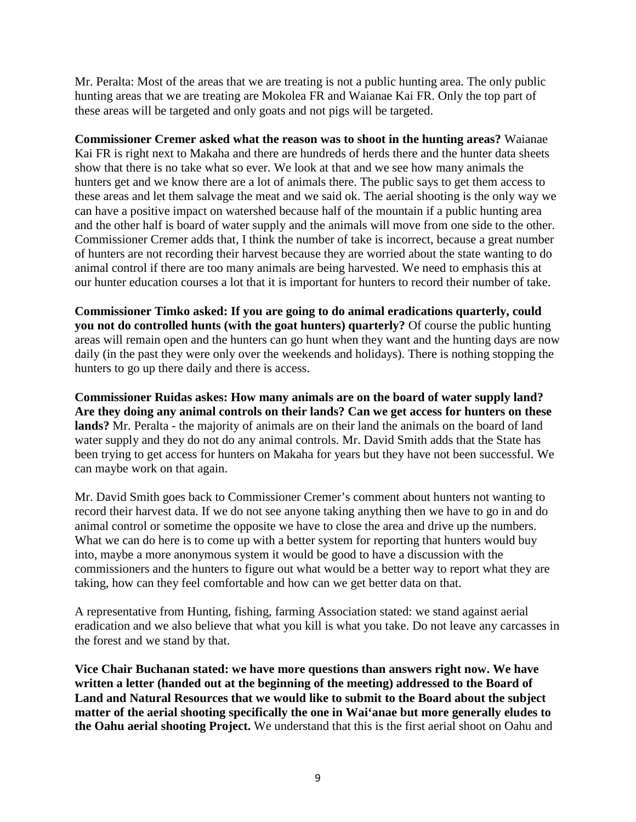Mr. Peralta: Most of the areas that we are treating is not a public hunting area. The only public hunting areas that we are treating are Mokolea FR and Waianae Kai FR. Only the top part of these areas will be targeted and only goats and not pigs will be targeted.

**Commissioner Cremer asked what the reason was to shoot in the hunting areas?** Waianae Kai FR is right next to Makaha and there are hundreds of herds there and the hunter data sheets show that there is no take what so ever. We look at that and we see how many animals the hunters get and we know there are a lot of animals there. The public says to get them access to these areas and let them salvage the meat and we said ok. The aerial shooting is the only way we can have a positive impact on watershed because half of the mountain if a public hunting area and the other half is board of water supply and the animals will move from one side to the other. Commissioner Cremer adds that, I think the number of take is incorrect, because a great number of hunters are not recording their harvest because they are worried about the state wanting to do animal control if there are too many animals are being harvested. We need to emphasis this at our hunter education courses a lot that it is important for hunters to record their number of take.

**Commissioner Timko asked: If you are going to do animal eradications quarterly, could you not do controlled hunts (with the goat hunters) quarterly?** Of course the public hunting areas will remain open and the hunters can go hunt when they want and the hunting days are now daily (in the past they were only over the weekends and holidays). There is nothing stopping the hunters to go up there daily and there is access.

**Commissioner Ruidas askes: How many animals are on the board of water supply land? Are they doing any animal controls on their lands? Can we get access for hunters on these lands?** Mr. Peralta - the majority of animals are on their land the animals on the board of land water supply and they do not do any animal controls. Mr. David Smith adds that the State has been trying to get access for hunters on Makaha for years but they have not been successful. We can maybe work on that again.

Mr. David Smith goes back to Commissioner Cremer's comment about hunters not wanting to record their harvest data. If we do not see anyone taking anything then we have to go in and do animal control or sometime the opposite we have to close the area and drive up the numbers. What we can do here is to come up with a better system for reporting that hunters would buy into, maybe a more anonymous system it would be good to have a discussion with the commissioners and the hunters to figure out what would be a better way to report what they are taking, how can they feel comfortable and how can we get better data on that.

A representative from Hunting, fishing, farming Association stated: we stand against aerial eradication and we also believe that what you kill is what you take. Do not leave any carcasses in the forest and we stand by that.

**Vice Chair Buchanan stated: we have more questions than answers right now. We have written a letter (handed out at the beginning of the meeting) addressed to the Board of Land and Natural Resources that we would like to submit to the Board about the subject matter of the aerial shooting specifically the one in Wai'anae but more generally eludes to the Oahu aerial shooting Project.** We understand that this is the first aerial shoot on Oahu and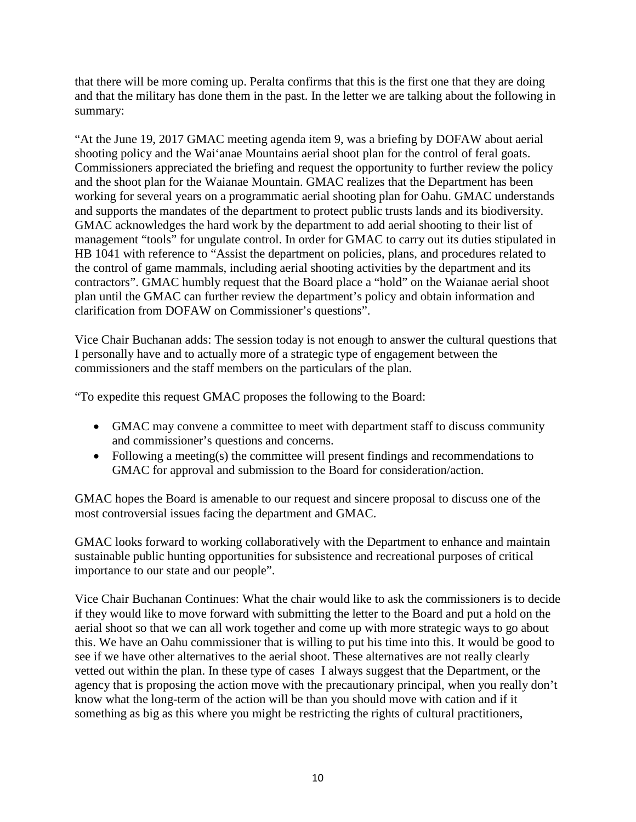that there will be more coming up. Peralta confirms that this is the first one that they are doing and that the military has done them in the past. In the letter we are talking about the following in summary:

"At the June 19, 2017 GMAC meeting agenda item 9, was a briefing by DOFAW about aerial shooting policy and the Wai'anae Mountains aerial shoot plan for the control of feral goats. Commissioners appreciated the briefing and request the opportunity to further review the policy and the shoot plan for the Waianae Mountain. GMAC realizes that the Department has been working for several years on a programmatic aerial shooting plan for Oahu. GMAC understands and supports the mandates of the department to protect public trusts lands and its biodiversity. GMAC acknowledges the hard work by the department to add aerial shooting to their list of management "tools" for ungulate control. In order for GMAC to carry out its duties stipulated in HB 1041 with reference to "Assist the department on policies, plans, and procedures related to the control of game mammals, including aerial shooting activities by the department and its contractors". GMAC humbly request that the Board place a "hold" on the Waianae aerial shoot plan until the GMAC can further review the department's policy and obtain information and clarification from DOFAW on Commissioner's questions".

Vice Chair Buchanan adds: The session today is not enough to answer the cultural questions that I personally have and to actually more of a strategic type of engagement between the commissioners and the staff members on the particulars of the plan.

"To expedite this request GMAC proposes the following to the Board:

- GMAC may convene a committee to meet with department staff to discuss community and commissioner's questions and concerns.
- Following a meeting(s) the committee will present findings and recommendations to GMAC for approval and submission to the Board for consideration/action.

GMAC hopes the Board is amenable to our request and sincere proposal to discuss one of the most controversial issues facing the department and GMAC.

GMAC looks forward to working collaboratively with the Department to enhance and maintain sustainable public hunting opportunities for subsistence and recreational purposes of critical importance to our state and our people".

Vice Chair Buchanan Continues: What the chair would like to ask the commissioners is to decide if they would like to move forward with submitting the letter to the Board and put a hold on the aerial shoot so that we can all work together and come up with more strategic ways to go about this. We have an Oahu commissioner that is willing to put his time into this. It would be good to see if we have other alternatives to the aerial shoot. These alternatives are not really clearly vetted out within the plan. In these type of cases I always suggest that the Department, or the agency that is proposing the action move with the precautionary principal, when you really don't know what the long-term of the action will be than you should move with cation and if it something as big as this where you might be restricting the rights of cultural practitioners,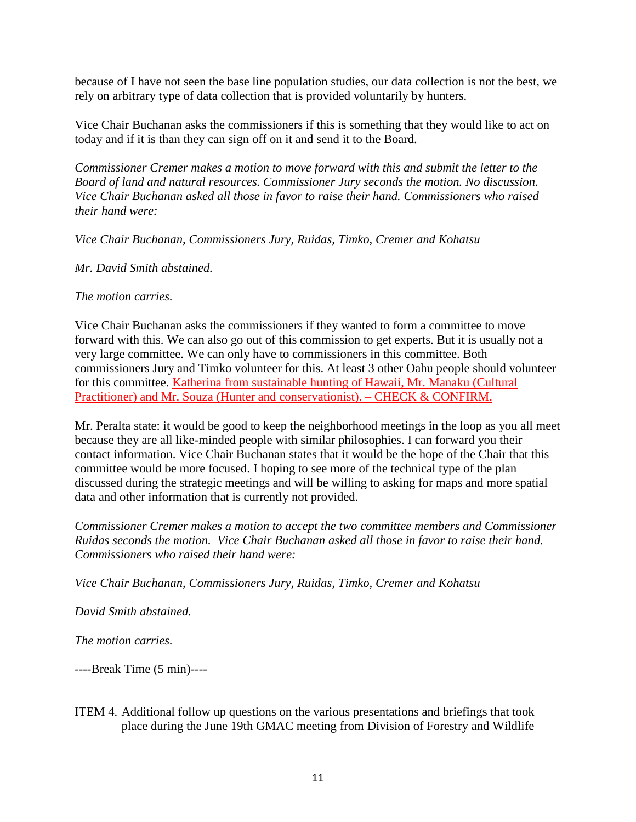because of I have not seen the base line population studies, our data collection is not the best, we rely on arbitrary type of data collection that is provided voluntarily by hunters.

Vice Chair Buchanan asks the commissioners if this is something that they would like to act on today and if it is than they can sign off on it and send it to the Board.

*Commissioner Cremer makes a motion to move forward with this and submit the letter to the Board of land and natural resources. Commissioner Jury seconds the motion. No discussion. Vice Chair Buchanan asked all those in favor to raise their hand. Commissioners who raised their hand were:* 

*Vice Chair Buchanan, Commissioners Jury, Ruidas, Timko, Cremer and Kohatsu*

*Mr. David Smith abstained.*

*The motion carries.*

Vice Chair Buchanan asks the commissioners if they wanted to form a committee to move forward with this. We can also go out of this commission to get experts. But it is usually not a very large committee. We can only have to commissioners in this committee. Both commissioners Jury and Timko volunteer for this. At least 3 other Oahu people should volunteer for this committee. Katherina from sustainable hunting of Hawaii, Mr. Manaku (Cultural Practitioner) and Mr. Souza (Hunter and conservationist). – CHECK & CONFIRM.

Mr. Peralta state: it would be good to keep the neighborhood meetings in the loop as you all meet because they are all like-minded people with similar philosophies. I can forward you their contact information. Vice Chair Buchanan states that it would be the hope of the Chair that this committee would be more focused. I hoping to see more of the technical type of the plan discussed during the strategic meetings and will be willing to asking for maps and more spatial data and other information that is currently not provided.

*Commissioner Cremer makes a motion to accept the two committee members and Commissioner Ruidas seconds the motion. Vice Chair Buchanan asked all those in favor to raise their hand. Commissioners who raised their hand were:* 

*Vice Chair Buchanan, Commissioners Jury, Ruidas, Timko, Cremer and Kohatsu*

*David Smith abstained.*

*The motion carries.*

----Break Time (5 min)----

ITEM 4. Additional follow up questions on the various presentations and briefings that took place during the June 19th GMAC meeting from Division of Forestry and Wildlife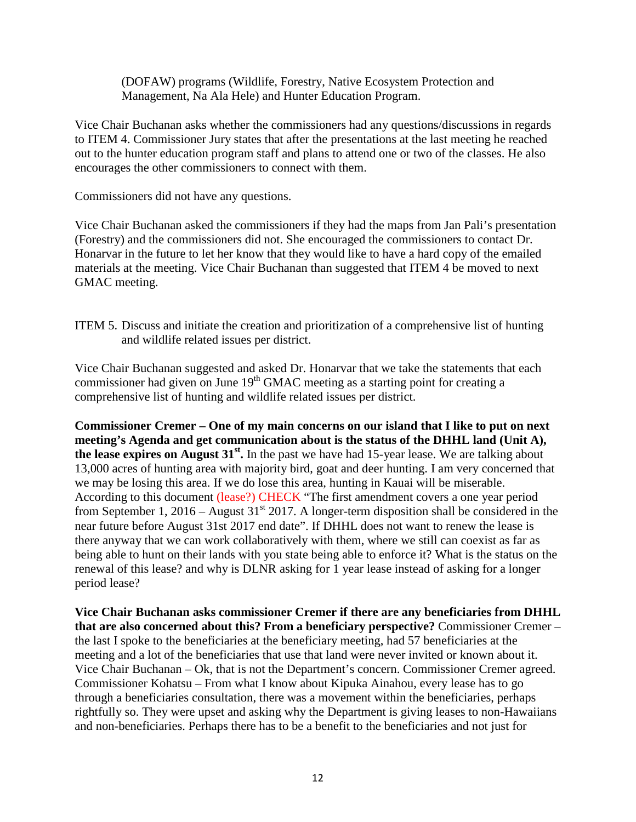(DOFAW) programs (Wildlife, Forestry, Native Ecosystem Protection and Management, Na Ala Hele) and Hunter Education Program.

Vice Chair Buchanan asks whether the commissioners had any questions/discussions in regards to ITEM 4. Commissioner Jury states that after the presentations at the last meeting he reached out to the hunter education program staff and plans to attend one or two of the classes. He also encourages the other commissioners to connect with them.

Commissioners did not have any questions.

Vice Chair Buchanan asked the commissioners if they had the maps from Jan Pali's presentation (Forestry) and the commissioners did not. She encouraged the commissioners to contact Dr. Honarvar in the future to let her know that they would like to have a hard copy of the emailed materials at the meeting. Vice Chair Buchanan than suggested that ITEM 4 be moved to next GMAC meeting.

ITEM 5. Discuss and initiate the creation and prioritization of a comprehensive list of hunting and wildlife related issues per district.

Vice Chair Buchanan suggested and asked Dr. Honarvar that we take the statements that each commissioner had given on June 19<sup>th</sup> GMAC meeting as a starting point for creating a comprehensive list of hunting and wildlife related issues per district.

**Commissioner Cremer – One of my main concerns on our island that I like to put on next meeting's Agenda and get communication about is the status of the DHHL land (Unit A), the lease expires on August 31st.** In the past we have had 15-year lease. We are talking about 13,000 acres of hunting area with majority bird, goat and deer hunting. I am very concerned that we may be losing this area. If we do lose this area, hunting in Kauai will be miserable. According to this document (lease?) CHECK "The first amendment covers a one year period from September 1, 2016 – August  $31<sup>st</sup>$  2017. A longer-term disposition shall be considered in the near future before August 31st 2017 end date". If DHHL does not want to renew the lease is there anyway that we can work collaboratively with them, where we still can coexist as far as being able to hunt on their lands with you state being able to enforce it? What is the status on the renewal of this lease? and why is DLNR asking for 1 year lease instead of asking for a longer period lease?

**Vice Chair Buchanan asks commissioner Cremer if there are any beneficiaries from DHHL that are also concerned about this? From a beneficiary perspective?** Commissioner Cremer – the last I spoke to the beneficiaries at the beneficiary meeting, had 57 beneficiaries at the meeting and a lot of the beneficiaries that use that land were never invited or known about it. Vice Chair Buchanan – Ok, that is not the Department's concern. Commissioner Cremer agreed. Commissioner Kohatsu – From what I know about Kipuka Ainahou, every lease has to go through a beneficiaries consultation, there was a movement within the beneficiaries, perhaps rightfully so. They were upset and asking why the Department is giving leases to non-Hawaiians and non-beneficiaries. Perhaps there has to be a benefit to the beneficiaries and not just for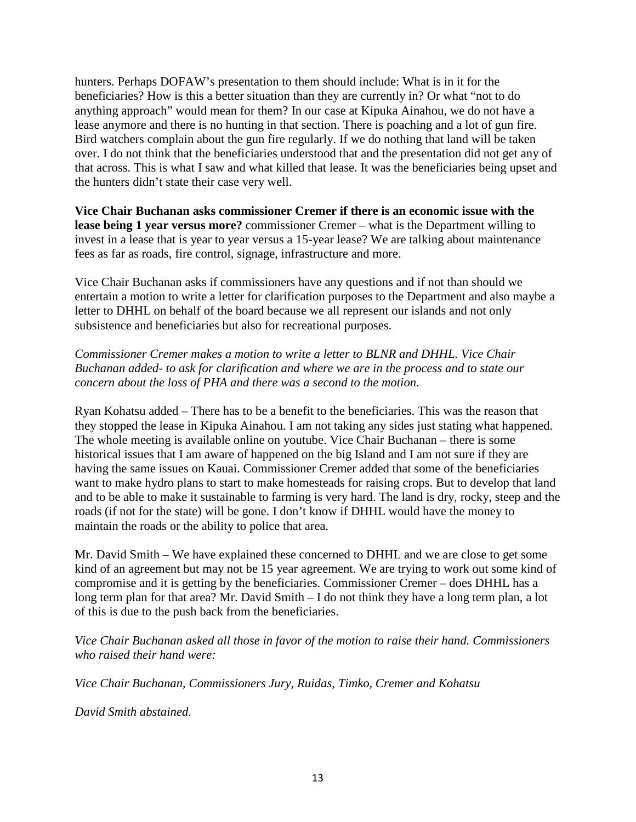hunters. Perhaps DOFAW's presentation to them should include: What is in it for the beneficiaries? How is this a better situation than they are currently in? Or what "not to do anything approach" would mean for them? In our case at Kipuka Ainahou, we do not have a lease anymore and there is no hunting in that section. There is poaching and a lot of gun fire. Bird watchers complain about the gun fire regularly. If we do nothing that land will be taken over. I do not think that the beneficiaries understood that and the presentation did not get any of that across. This is what I saw and what killed that lease. It was the beneficiaries being upset and the hunters didn't state their case very well.

**Vice Chair Buchanan asks commissioner Cremer if there is an economic issue with the lease being 1 year versus more?** commissioner Cremer – what is the Department willing to invest in a lease that is year to year versus a 15-year lease? We are talking about maintenance fees as far as roads, fire control, signage, infrastructure and more.

Vice Chair Buchanan asks if commissioners have any questions and if not than should we entertain a motion to write a letter for clarification purposes to the Department and also maybe a letter to DHHL on behalf of the board because we all represent our islands and not only subsistence and beneficiaries but also for recreational purposes.

*Commissioner Cremer makes a motion to write a letter to BLNR and DHHL. Vice Chair Buchanan added- to ask for clarification and where we are in the process and to state our concern about the loss of PHA and there was a second to the motion.*

Ryan Kohatsu added – There has to be a benefit to the beneficiaries. This was the reason that they stopped the lease in Kipuka Ainahou. I am not taking any sides just stating what happened. The whole meeting is available online on youtube. Vice Chair Buchanan – there is some historical issues that I am aware of happened on the big Island and I am not sure if they are having the same issues on Kauai. Commissioner Cremer added that some of the beneficiaries want to make hydro plans to start to make homesteads for raising crops. But to develop that land and to be able to make it sustainable to farming is very hard. The land is dry, rocky, steep and the roads (if not for the state) will be gone. I don't know if DHHL would have the money to maintain the roads or the ability to police that area.

Mr. David Smith – We have explained these concerned to DHHL and we are close to get some kind of an agreement but may not be 15 year agreement. We are trying to work out some kind of compromise and it is getting by the beneficiaries. Commissioner Cremer – does DHHL has a long term plan for that area? Mr. David Smith – I do not think they have a long term plan, a lot of this is due to the push back from the beneficiaries.

*Vice Chair Buchanan asked all those in favor of the motion to raise their hand. Commissioners who raised their hand were:* 

*Vice Chair Buchanan, Commissioners Jury, Ruidas, Timko, Cremer and Kohatsu*

*David Smith abstained.*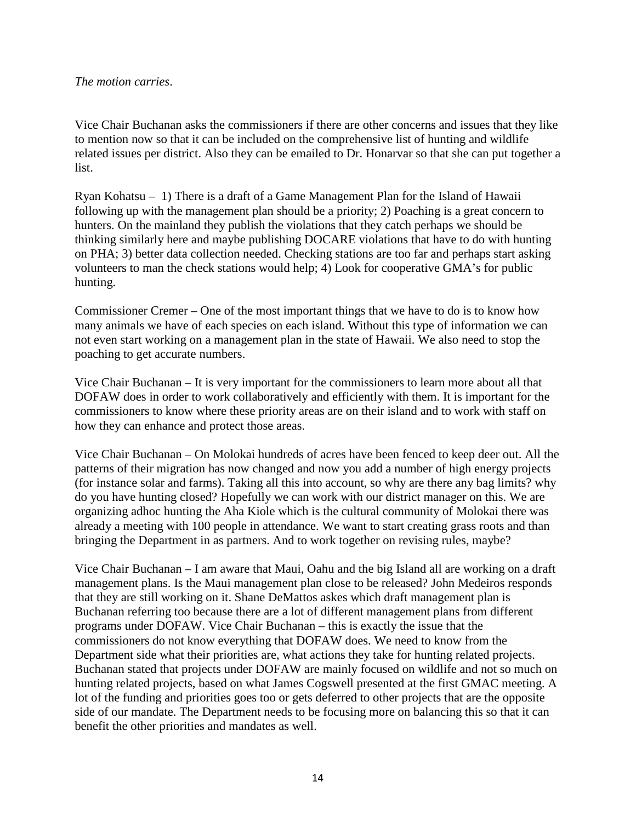### *The motion carries*.

Vice Chair Buchanan asks the commissioners if there are other concerns and issues that they like to mention now so that it can be included on the comprehensive list of hunting and wildlife related issues per district. Also they can be emailed to Dr. Honarvar so that she can put together a list.

Ryan Kohatsu – 1) There is a draft of a Game Management Plan for the Island of Hawaii following up with the management plan should be a priority; 2) Poaching is a great concern to hunters. On the mainland they publish the violations that they catch perhaps we should be thinking similarly here and maybe publishing DOCARE violations that have to do with hunting on PHA; 3) better data collection needed. Checking stations are too far and perhaps start asking volunteers to man the check stations would help; 4) Look for cooperative GMA's for public hunting.

Commissioner Cremer – One of the most important things that we have to do is to know how many animals we have of each species on each island. Without this type of information we can not even start working on a management plan in the state of Hawaii. We also need to stop the poaching to get accurate numbers.

Vice Chair Buchanan – It is very important for the commissioners to learn more about all that DOFAW does in order to work collaboratively and efficiently with them. It is important for the commissioners to know where these priority areas are on their island and to work with staff on how they can enhance and protect those areas.

Vice Chair Buchanan – On Molokai hundreds of acres have been fenced to keep deer out. All the patterns of their migration has now changed and now you add a number of high energy projects (for instance solar and farms). Taking all this into account, so why are there any bag limits? why do you have hunting closed? Hopefully we can work with our district manager on this. We are organizing adhoc hunting the Aha Kiole which is the cultural community of Molokai there was already a meeting with 100 people in attendance. We want to start creating grass roots and than bringing the Department in as partners. And to work together on revising rules, maybe?

Vice Chair Buchanan – I am aware that Maui, Oahu and the big Island all are working on a draft management plans. Is the Maui management plan close to be released? John Medeiros responds that they are still working on it. Shane DeMattos askes which draft management plan is Buchanan referring too because there are a lot of different management plans from different programs under DOFAW. Vice Chair Buchanan – this is exactly the issue that the commissioners do not know everything that DOFAW does. We need to know from the Department side what their priorities are, what actions they take for hunting related projects. Buchanan stated that projects under DOFAW are mainly focused on wildlife and not so much on hunting related projects, based on what James Cogswell presented at the first GMAC meeting. A lot of the funding and priorities goes too or gets deferred to other projects that are the opposite side of our mandate. The Department needs to be focusing more on balancing this so that it can benefit the other priorities and mandates as well.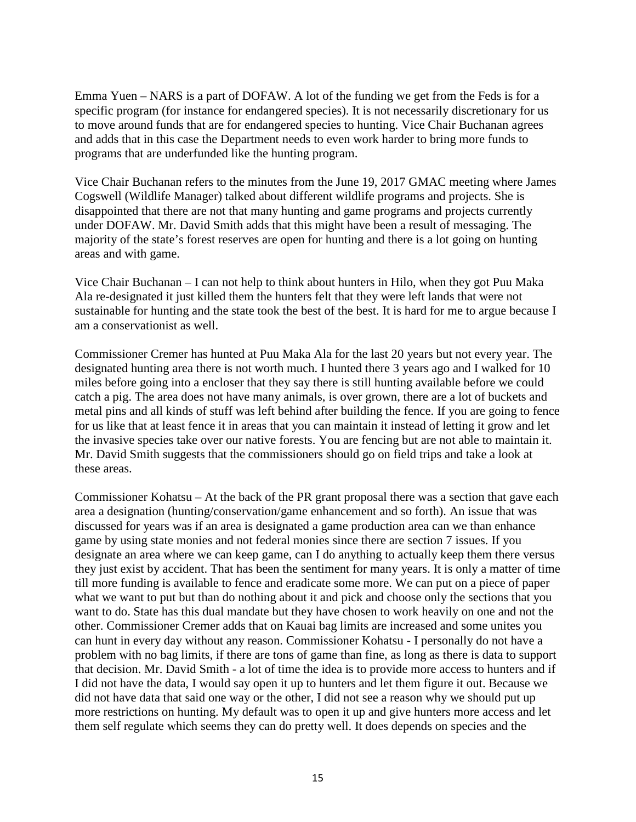Emma Yuen – NARS is a part of DOFAW. A lot of the funding we get from the Feds is for a specific program (for instance for endangered species). It is not necessarily discretionary for us to move around funds that are for endangered species to hunting. Vice Chair Buchanan agrees and adds that in this case the Department needs to even work harder to bring more funds to programs that are underfunded like the hunting program.

Vice Chair Buchanan refers to the minutes from the June 19, 2017 GMAC meeting where James Cogswell (Wildlife Manager) talked about different wildlife programs and projects. She is disappointed that there are not that many hunting and game programs and projects currently under DOFAW. Mr. David Smith adds that this might have been a result of messaging. The majority of the state's forest reserves are open for hunting and there is a lot going on hunting areas and with game.

Vice Chair Buchanan – I can not help to think about hunters in Hilo, when they got Puu Maka Ala re-designated it just killed them the hunters felt that they were left lands that were not sustainable for hunting and the state took the best of the best. It is hard for me to argue because I am a conservationist as well.

Commissioner Cremer has hunted at Puu Maka Ala for the last 20 years but not every year. The designated hunting area there is not worth much. I hunted there 3 years ago and I walked for 10 miles before going into a encloser that they say there is still hunting available before we could catch a pig. The area does not have many animals, is over grown, there are a lot of buckets and metal pins and all kinds of stuff was left behind after building the fence. If you are going to fence for us like that at least fence it in areas that you can maintain it instead of letting it grow and let the invasive species take over our native forests. You are fencing but are not able to maintain it. Mr. David Smith suggests that the commissioners should go on field trips and take a look at these areas.

Commissioner Kohatsu – At the back of the PR grant proposal there was a section that gave each area a designation (hunting/conservation/game enhancement and so forth). An issue that was discussed for years was if an area is designated a game production area can we than enhance game by using state monies and not federal monies since there are section 7 issues. If you designate an area where we can keep game, can I do anything to actually keep them there versus they just exist by accident. That has been the sentiment for many years. It is only a matter of time till more funding is available to fence and eradicate some more. We can put on a piece of paper what we want to put but than do nothing about it and pick and choose only the sections that you want to do. State has this dual mandate but they have chosen to work heavily on one and not the other. Commissioner Cremer adds that on Kauai bag limits are increased and some unites you can hunt in every day without any reason. Commissioner Kohatsu - I personally do not have a problem with no bag limits, if there are tons of game than fine, as long as there is data to support that decision. Mr. David Smith - a lot of time the idea is to provide more access to hunters and if I did not have the data, I would say open it up to hunters and let them figure it out. Because we did not have data that said one way or the other, I did not see a reason why we should put up more restrictions on hunting. My default was to open it up and give hunters more access and let them self regulate which seems they can do pretty well. It does depends on species and the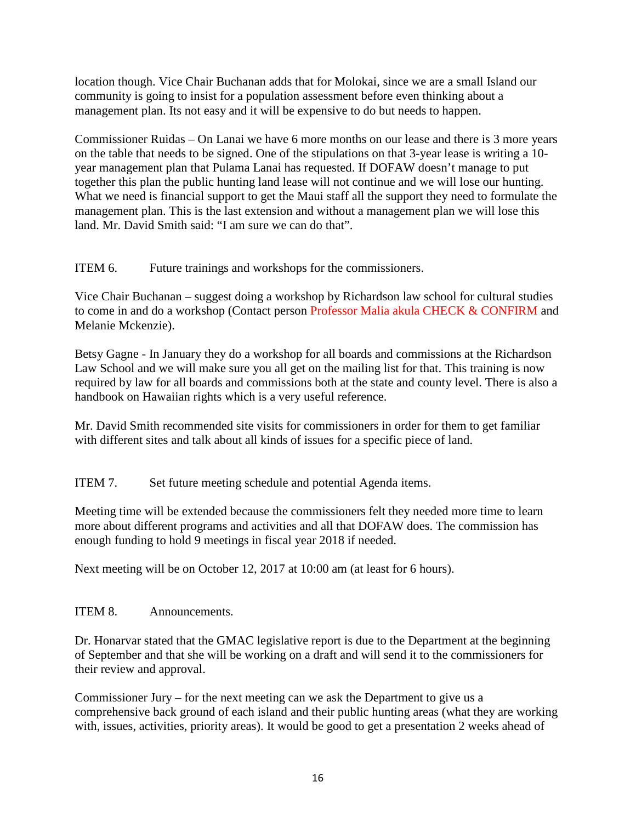location though. Vice Chair Buchanan adds that for Molokai, since we are a small Island our community is going to insist for a population assessment before even thinking about a management plan. Its not easy and it will be expensive to do but needs to happen.

Commissioner Ruidas – On Lanai we have 6 more months on our lease and there is 3 more years on the table that needs to be signed. One of the stipulations on that 3-year lease is writing a 10 year management plan that Pulama Lanai has requested. If DOFAW doesn't manage to put together this plan the public hunting land lease will not continue and we will lose our hunting. What we need is financial support to get the Maui staff all the support they need to formulate the management plan. This is the last extension and without a management plan we will lose this land. Mr. David Smith said: "I am sure we can do that".

ITEM 6. Future trainings and workshops for the commissioners.

Vice Chair Buchanan – suggest doing a workshop by Richardson law school for cultural studies to come in and do a workshop (Contact person Professor Malia akula CHECK & CONFIRM and Melanie Mckenzie).

Betsy Gagne - In January they do a workshop for all boards and commissions at the Richardson Law School and we will make sure you all get on the mailing list for that. This training is now required by law for all boards and commissions both at the state and county level. There is also a handbook on Hawaiian rights which is a very useful reference.

Mr. David Smith recommended site visits for commissioners in order for them to get familiar with different sites and talk about all kinds of issues for a specific piece of land.

ITEM 7. Set future meeting schedule and potential Agenda items.

Meeting time will be extended because the commissioners felt they needed more time to learn more about different programs and activities and all that DOFAW does. The commission has enough funding to hold 9 meetings in fiscal year 2018 if needed.

Next meeting will be on October 12, 2017 at 10:00 am (at least for 6 hours).

# ITEM 8. Announcements.

Dr. Honarvar stated that the GMAC legislative report is due to the Department at the beginning of September and that she will be working on a draft and will send it to the commissioners for their review and approval.

Commissioner Jury – for the next meeting can we ask the Department to give us a comprehensive back ground of each island and their public hunting areas (what they are working with, issues, activities, priority areas). It would be good to get a presentation 2 weeks ahead of